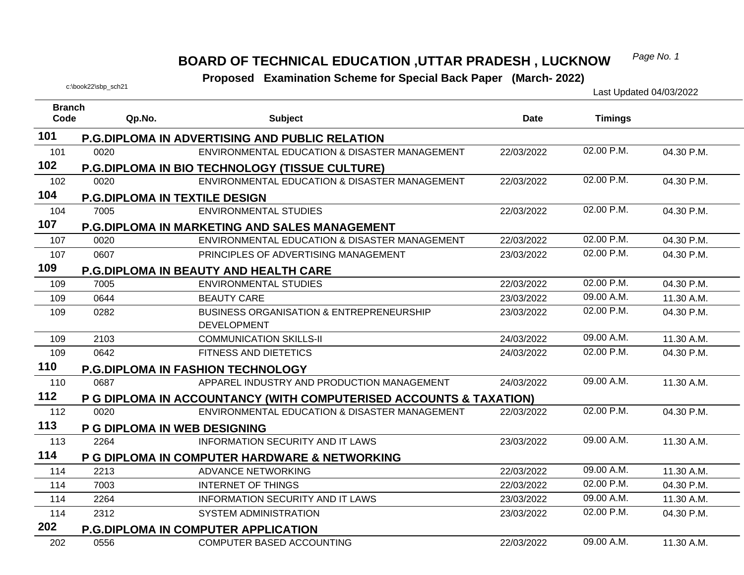#### *Page No. 1* **BOARD OF TECHNICAL EDUCATION ,UTTAR PRADESH , LUCKNOW**

# **Examination Scheme for Special Back Paper (March- 2022)** Last Updated 04/03/2022<br>Last Updated 04/03/2022

| <b>Branch</b> |                                      |                                                                           |             |                |            |
|---------------|--------------------------------------|---------------------------------------------------------------------------|-------------|----------------|------------|
| Code          | Qp.No.                               | <b>Subject</b>                                                            | <b>Date</b> | <b>Timings</b> |            |
| 101           |                                      | <b>P.G.DIPLOMA IN ADVERTISING AND PUBLIC RELATION</b>                     |             |                |            |
| 101           | 0020                                 | ENVIRONMENTAL EDUCATION & DISASTER MANAGEMENT                             | 22/03/2022  | 02.00 P.M.     | 04.30 P.M. |
| 102           |                                      | <b>P.G.DIPLOMA IN BIO TECHNOLOGY (TISSUE CULTURE)</b>                     |             |                |            |
| 102           | 0020                                 | ENVIRONMENTAL EDUCATION & DISASTER MANAGEMENT                             | 22/03/2022  | 02.00 P.M.     | 04.30 P.M. |
| 104           | <b>P.G.DIPLOMA IN TEXTILE DESIGN</b> |                                                                           |             |                |            |
| 104           | 7005                                 | <b>ENVIRONMENTAL STUDIES</b>                                              | 22/03/2022  | 02.00 P.M.     | 04.30 P.M. |
| 107           |                                      | P.G.DIPLOMA IN MARKETING AND SALES MANAGEMENT                             |             |                |            |
| 107           | 0020                                 | ENVIRONMENTAL EDUCATION & DISASTER MANAGEMENT                             | 22/03/2022  | 02.00 P.M.     | 04.30 P.M. |
| 107           | 0607                                 | PRINCIPLES OF ADVERTISING MANAGEMENT                                      | 23/03/2022  | 02.00 P.M.     | 04.30 P.M. |
| 109           |                                      | P.G.DIPLOMA IN BEAUTY AND HEALTH CARE                                     |             |                |            |
| 109           | 7005                                 | <b>ENVIRONMENTAL STUDIES</b>                                              | 22/03/2022  | 02.00 P.M.     | 04.30 P.M. |
| 109           | 0644                                 | <b>BEAUTY CARE</b>                                                        | 23/03/2022  | 09.00 A.M.     | 11.30 A.M. |
| 109           | 0282                                 | <b>BUSINESS ORGANISATION &amp; ENTREPRENEURSHIP</b><br><b>DEVELOPMENT</b> | 23/03/2022  | 02.00 P.M.     | 04.30 P.M. |
| 109           | 2103                                 | <b>COMMUNICATION SKILLS-II</b>                                            | 24/03/2022  | 09.00 A.M.     | 11.30 A.M. |
| 109           | 0642                                 | FITNESS AND DIETETICS                                                     | 24/03/2022  | 02.00 P.M.     | 04.30 P.M. |
| 110           |                                      | <b>P.G.DIPLOMA IN FASHION TECHNOLOGY</b>                                  |             |                |            |
| 110           | 0687                                 | APPAREL INDUSTRY AND PRODUCTION MANAGEMENT                                | 24/03/2022  | 09.00 A.M.     | 11.30 A.M. |
| 112           |                                      | P G DIPLOMA IN ACCOUNTANCY (WITH COMPUTERISED ACCOUNTS & TAXATION)        |             |                |            |
| 112           | 0020                                 | ENVIRONMENTAL EDUCATION & DISASTER MANAGEMENT                             | 22/03/2022  | 02.00 P.M.     | 04.30 P.M. |
| 113           | P G DIPLOMA IN WEB DESIGNING         |                                                                           |             |                |            |
| 113           | 2264                                 | <b>INFORMATION SECURITY AND IT LAWS</b>                                   | 23/03/2022  | 09.00 A.M.     | 11.30 A.M. |
| 114           |                                      | P G DIPLOMA IN COMPUTER HARDWARE & NETWORKING                             |             |                |            |
| 114           | 2213                                 | <b>ADVANCE NETWORKING</b>                                                 | 22/03/2022  | 09.00 A.M.     | 11.30 A.M. |
| 114           | 7003                                 | <b>INTERNET OF THINGS</b>                                                 | 22/03/2022  | 02.00 P.M.     | 04.30 P.M. |
| 114           | 2264                                 | <b>INFORMATION SECURITY AND IT LAWS</b>                                   | 23/03/2022  | 09.00 A.M.     | 11.30 A.M. |
| 114           | 2312                                 | <b>SYSTEM ADMINISTRATION</b>                                              | 23/03/2022  | 02.00 P.M.     | 04.30 P.M. |
| 202           |                                      | <b>P.G.DIPLOMA IN COMPUTER APPLICATION</b>                                |             |                |            |
| 202           | 0556                                 | <b>COMPUTER BASED ACCOUNTING</b>                                          | 22/03/2022  | 09.00 A.M.     | 11.30 A.M. |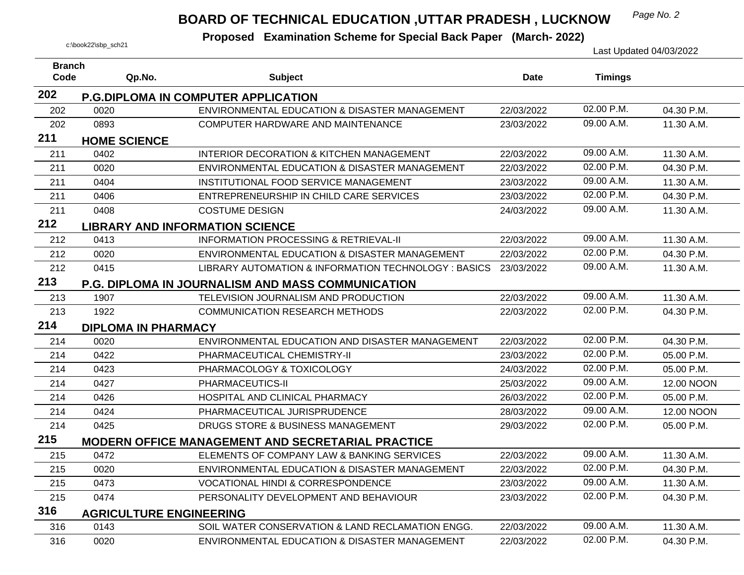## *Page No. 2* **BOARD OF TECHNICAL EDUCATION ,UTTAR PRADESH , LUCKNOW**

| <b>Branch</b> |                                |                                                          |            |                |            |
|---------------|--------------------------------|----------------------------------------------------------|------------|----------------|------------|
| Code          | Qp.No.                         | <b>Subject</b>                                           | Date       | <b>Timings</b> |            |
| 202           |                                | <b>P.G.DIPLOMA IN COMPUTER APPLICATION</b>               |            |                |            |
| 202           | 0020                           | ENVIRONMENTAL EDUCATION & DISASTER MANAGEMENT            | 22/03/2022 | 02.00 P.M.     | 04.30 P.M. |
| 202           | 0893                           | COMPUTER HARDWARE AND MAINTENANCE                        | 23/03/2022 | 09.00 A.M.     | 11.30 A.M. |
| 211           | <b>HOME SCIENCE</b>            |                                                          |            |                |            |
| 211           | 0402                           | <b>INTERIOR DECORATION &amp; KITCHEN MANAGEMENT</b>      | 22/03/2022 | 09.00 A.M.     | 11.30 A.M. |
| 211           | 0020                           | ENVIRONMENTAL EDUCATION & DISASTER MANAGEMENT            | 22/03/2022 | 02.00 P.M.     | 04.30 P.M. |
| 211           | 0404                           | INSTITUTIONAL FOOD SERVICE MANAGEMENT                    | 23/03/2022 | 09.00 A.M.     | 11.30 A.M. |
| 211           | 0406                           | ENTREPRENEURSHIP IN CHILD CARE SERVICES                  | 23/03/2022 | 02.00 P.M.     | 04.30 P.M. |
| 211           | 0408                           | <b>COSTUME DESIGN</b>                                    | 24/03/2022 | 09.00 A.M.     | 11.30 A.M. |
| 212           |                                | <b>LIBRARY AND INFORMATION SCIENCE</b>                   |            |                |            |
| 212           | 0413                           | <b>INFORMATION PROCESSING &amp; RETRIEVAL-II</b>         | 22/03/2022 | 09.00 A.M.     | 11.30 A.M. |
| 212           | 0020                           | ENVIRONMENTAL EDUCATION & DISASTER MANAGEMENT            | 22/03/2022 | 02.00 P.M.     | 04.30 P.M. |
| 212           | 0415                           | LIBRARY AUTOMATION & INFORMATION TECHNOLOGY : BASICS     | 23/03/2022 | 09.00 A.M.     | 11.30 A.M. |
| 213           |                                | <b>P.G. DIPLOMA IN JOURNALISM AND MASS COMMUNICATION</b> |            |                |            |
| 213           | 1907                           | TELEVISION JOURNALISM AND PRODUCTION                     | 22/03/2022 | 09.00 A.M.     | 11.30 A.M. |
| 213           | 1922                           | <b>COMMUNICATION RESEARCH METHODS</b>                    | 22/03/2022 | 02.00 P.M.     | 04.30 P.M. |
| 214           | <b>DIPLOMA IN PHARMACY</b>     |                                                          |            |                |            |
| 214           | 0020                           | ENVIRONMENTAL EDUCATION AND DISASTER MANAGEMENT          | 22/03/2022 | 02.00 P.M.     | 04.30 P.M. |
| 214           | 0422                           | PHARMACEUTICAL CHEMISTRY-II                              | 23/03/2022 | 02.00 P.M.     | 05.00 P.M. |
| 214           | 0423                           | PHARMACOLOGY & TOXICOLOGY                                | 24/03/2022 | 02.00 P.M.     | 05.00 P.M. |
| 214           | 0427                           | PHARMACEUTICS-II                                         | 25/03/2022 | 09.00 A.M.     | 12.00 NOON |
| 214           | 0426                           | HOSPITAL AND CLINICAL PHARMACY                           | 26/03/2022 | 02.00 P.M.     | 05.00 P.M. |
| 214           | 0424                           | PHARMACEUTICAL JURISPRUDENCE                             | 28/03/2022 | 09.00 A.M.     | 12.00 NOON |
| 214           | 0425                           | DRUGS STORE & BUSINESS MANAGEMENT                        | 29/03/2022 | 02.00 P.M.     | 05.00 P.M. |
| 215           |                                | <b>MODERN OFFICE MANAGEMENT AND SECRETARIAL PRACTICE</b> |            |                |            |
| 215           | 0472                           | ELEMENTS OF COMPANY LAW & BANKING SERVICES               | 22/03/2022 | 09.00 A.M.     | 11.30 A.M. |
| 215           | 0020                           | ENVIRONMENTAL EDUCATION & DISASTER MANAGEMENT            | 22/03/2022 | 02.00 P.M.     | 04.30 P.M. |
| 215           | 0473                           | <b>VOCATIONAL HINDI &amp; CORRESPONDENCE</b>             | 23/03/2022 | 09.00 A.M.     | 11.30 A.M. |
| 215           | 0474                           | PERSONALITY DEVELOPMENT AND BEHAVIOUR                    | 23/03/2022 | 02.00 P.M.     | 04.30 P.M. |
| 316           | <b>AGRICULTURE ENGINEERING</b> |                                                          |            |                |            |
| 316           | 0143                           | SOIL WATER CONSERVATION & LAND RECLAMATION ENGG.         | 22/03/2022 | 09.00 A.M.     | 11.30 A.M. |
| 316           | 0020                           | ENVIRONMENTAL EDUCATION & DISASTER MANAGEMENT            | 22/03/2022 | 02.00 P.M.     | 04.30 P.M. |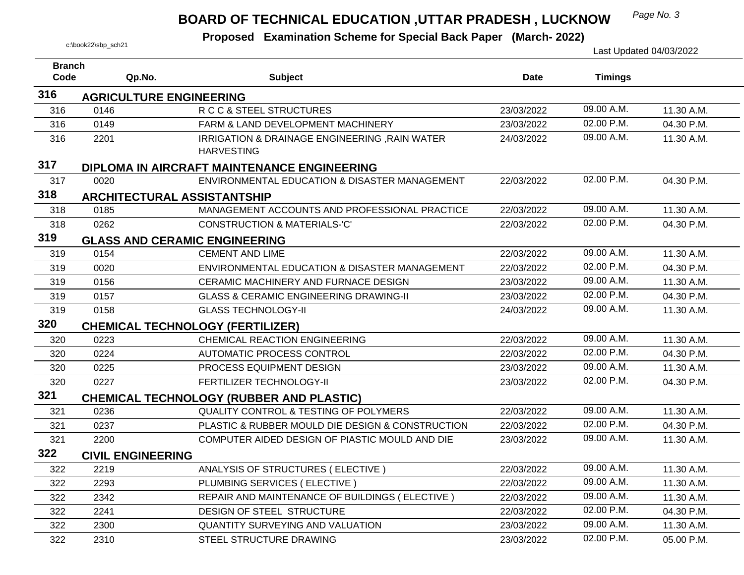# *Page No. 3* **BOARD OF TECHNICAL EDUCATION ,UTTAR PRADESH , LUCKNOW**

**Proposed Examination Scheme for Special Back Paper (March- 2022)** 

| c:\book22\sbp_sch21   |                                |                                                                    |             |                | Last Updated 04/03/2022 |
|-----------------------|--------------------------------|--------------------------------------------------------------------|-------------|----------------|-------------------------|
| <b>Branch</b><br>Code | Qp.No.                         | <b>Subject</b>                                                     | <b>Date</b> | <b>Timings</b> |                         |
| 316                   | <b>AGRICULTURE ENGINEERING</b> |                                                                    |             |                |                         |
| 316                   | 0146                           | R C C & STEEL STRUCTURES                                           | 23/03/2022  | 09.00 A.M.     | 11.30 A.M.              |
| 316                   | 0149                           | FARM & LAND DEVELOPMENT MACHINERY                                  | 23/03/2022  | 02.00 P.M.     | 04.30 P.M.              |
| 316                   | 2201                           | IRRIGATION & DRAINAGE ENGINEERING, RAIN WATER<br><b>HARVESTING</b> | 24/03/2022  | 09.00 A.M.     | 11.30 A.M.              |
| 317                   |                                | <b>DIPLOMA IN AIRCRAFT MAINTENANCE ENGINEERING</b>                 |             |                |                         |
| 317                   | 0020                           | ENVIRONMENTAL EDUCATION & DISASTER MANAGEMENT                      | 22/03/2022  | 02.00 P.M.     | 04.30 P.M.              |
| 318                   |                                | <b>ARCHITECTURAL ASSISTANTSHIP</b>                                 |             |                |                         |
| 318                   | 0185                           | MANAGEMENT ACCOUNTS AND PROFESSIONAL PRACTICE                      | 22/03/2022  | 09.00 A.M.     | 11.30 A.M.              |
| 318                   | 0262                           | <b>CONSTRUCTION &amp; MATERIALS-'C'</b>                            | 22/03/2022  | 02.00 P.M.     | 04.30 P.M.              |
| 319                   |                                | <b>GLASS AND CERAMIC ENGINEERING</b>                               |             |                |                         |
| 319                   | 0154                           | <b>CEMENT AND LIME</b>                                             | 22/03/2022  | 09.00 A.M.     | 11.30 A.M.              |
| 319                   | 0020                           | ENVIRONMENTAL EDUCATION & DISASTER MANAGEMENT                      | 22/03/2022  | 02.00 P.M.     | 04.30 P.M.              |
| 319                   | 0156                           | CERAMIC MACHINERY AND FURNACE DESIGN                               | 23/03/2022  | 09.00 A.M.     | 11.30 A.M.              |
| 319                   | 0157                           | <b>GLASS &amp; CERAMIC ENGINEERING DRAWING-II</b>                  | 23/03/2022  | 02.00 P.M.     | 04.30 P.M.              |
| 319                   | 0158                           | <b>GLASS TECHNOLOGY-II</b>                                         | 24/03/2022  | 09.00 A.M.     | 11.30 A.M.              |
| 320                   |                                | <b>CHEMICAL TECHNOLOGY (FERTILIZER)</b>                            |             |                |                         |
| 320                   | 0223                           | <b>CHEMICAL REACTION ENGINEERING</b>                               | 22/03/2022  | 09.00 A.M.     | 11.30 A.M.              |
| 320                   | 0224                           | <b>AUTOMATIC PROCESS CONTROL</b>                                   | 22/03/2022  | 02.00 P.M.     | 04.30 P.M.              |
| 320                   | 0225                           | PROCESS EQUIPMENT DESIGN                                           | 23/03/2022  | 09.00 A.M.     | 11.30 A.M.              |
| 320                   | 0227                           | FERTILIZER TECHNOLOGY-II                                           | 23/03/2022  | 02.00 P.M.     | 04.30 P.M.              |
| 321                   |                                | <b>CHEMICAL TECHNOLOGY (RUBBER AND PLASTIC)</b>                    |             |                |                         |
| 321                   | 0236                           | <b>QUALITY CONTROL &amp; TESTING OF POLYMERS</b>                   | 22/03/2022  | 09.00 A.M.     | 11.30 A.M.              |
| 321                   | 0237                           | PLASTIC & RUBBER MOULD DIE DESIGN & CONSTRUCTION                   | 22/03/2022  | 02.00 P.M.     | 04.30 P.M.              |
| 321                   | 2200                           | COMPUTER AIDED DESIGN OF PIASTIC MOULD AND DIE                     | 23/03/2022  | 09.00 A.M.     | 11.30 A.M.              |
| 322                   | <b>CIVIL ENGINEERING</b>       |                                                                    |             |                |                         |
| 322                   | 2219                           | ANALYSIS OF STRUCTURES (ELECTIVE)                                  | 22/03/2022  | 09.00 A.M.     | 11.30 A.M.              |
| 322                   | 2293                           | PLUMBING SERVICES (ELECTIVE)                                       | 22/03/2022  | 09.00 A.M.     | 11.30 A.M.              |
| 322                   | 2342                           | REPAIR AND MAINTENANCE OF BUILDINGS (ELECTIVE)                     | 22/03/2022  | 09.00 A.M.     | 11.30 A.M.              |
| 322                   | 2241                           | DESIGN OF STEEL STRUCTURE                                          | 22/03/2022  | 02.00 P.M.     | 04.30 P.M.              |
| 322                   | 2300                           | QUANTITY SURVEYING AND VALUATION                                   | 23/03/2022  | 09.00 A.M.     | 11.30 A.M.              |
| 322                   | 2310                           | STEEL STRUCTURE DRAWING                                            | 23/03/2022  | 02.00 P.M.     | 05.00 P.M.              |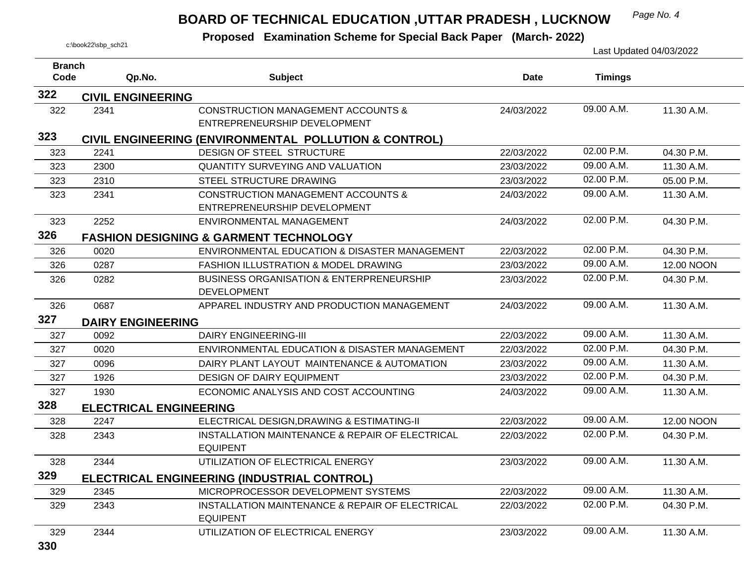# *Page No. 4* **BOARD OF TECHNICAL EDUCATION ,UTTAR PRADESH , LUCKNOW**

| <b>Branch</b> |                               |                                                                               |             |                |            |
|---------------|-------------------------------|-------------------------------------------------------------------------------|-------------|----------------|------------|
| Code          | Qp.No.                        | <b>Subject</b>                                                                | <b>Date</b> | <b>Timings</b> |            |
| 322           | <b>CIVIL ENGINEERING</b>      |                                                                               |             |                |            |
| 322           | 2341                          | <b>CONSTRUCTION MANAGEMENT ACCOUNTS &amp;</b>                                 | 24/03/2022  | 09.00 A.M.     | 11.30 A.M. |
|               |                               | ENTREPRENEURSHIP DEVELOPMENT                                                  |             |                |            |
| 323           |                               | CIVIL ENGINEERING (ENVIRONMENTAL POLLUTION & CONTROL)                         |             |                |            |
| 323           | 2241                          | <b>DESIGN OF STEEL STRUCTURE</b>                                              | 22/03/2022  | 02.00 P.M.     | 04.30 P.M. |
| 323           | 2300                          | <b>QUANTITY SURVEYING AND VALUATION</b>                                       | 23/03/2022  | 09.00 A.M.     | 11.30 A.M. |
| 323           | 2310                          | STEEL STRUCTURE DRAWING                                                       | 23/03/2022  | 02.00 P.M.     | 05.00 P.M. |
| 323           | 2341                          | <b>CONSTRUCTION MANAGEMENT ACCOUNTS &amp;</b><br>ENTREPRENEURSHIP DEVELOPMENT | 24/03/2022  | 09.00 A.M.     | 11.30 A.M. |
| 323           | 2252                          | ENVIRONMENTAL MANAGEMENT                                                      | 24/03/2022  | 02.00 P.M.     | 04.30 P.M. |
| 326           |                               | <b>FASHION DESIGNING &amp; GARMENT TECHNOLOGY</b>                             |             |                |            |
| 326           | 0020                          | ENVIRONMENTAL EDUCATION & DISASTER MANAGEMENT                                 | 22/03/2022  | 02.00 P.M.     | 04.30 P.M. |
| 326           | 0287                          | <b>FASHION ILLUSTRATION &amp; MODEL DRAWING</b>                               | 23/03/2022  | 09.00 A.M.     | 12.00 NOON |
| 326           | 0282                          | <b>BUSINESS ORGANISATION &amp; ENTERPRENEURSHIP</b><br><b>DEVELOPMENT</b>     | 23/03/2022  | 02.00 P.M.     | 04.30 P.M. |
| 326           | 0687                          | APPAREL INDUSTRY AND PRODUCTION MANAGEMENT                                    | 24/03/2022  | 09.00 A.M.     | 11.30 A.M. |
| 327           | <b>DAIRY ENGINEERING</b>      |                                                                               |             |                |            |
| 327           | 0092                          | <b>DAIRY ENGINEERING-III</b>                                                  | 22/03/2022  | 09.00 A.M.     | 11.30 A.M. |
| 327           | 0020                          | ENVIRONMENTAL EDUCATION & DISASTER MANAGEMENT                                 | 22/03/2022  | 02.00 P.M.     | 04.30 P.M. |
| 327           | 0096                          | DAIRY PLANT LAYOUT MAINTENANCE & AUTOMATION                                   | 23/03/2022  | 09.00 A.M.     | 11.30 A.M. |
| 327           | 1926                          | <b>DESIGN OF DAIRY EQUIPMENT</b>                                              | 23/03/2022  | 02.00 P.M.     | 04.30 P.M. |
| 327           | 1930                          | ECONOMIC ANALYSIS AND COST ACCOUNTING                                         | 24/03/2022  | 09.00 A.M.     | 11.30 A.M. |
| 328           | <b>ELECTRICAL ENGINEERING</b> |                                                                               |             |                |            |
| 328           | 2247                          | ELECTRICAL DESIGN, DRAWING & ESTIMATING-II                                    | 22/03/2022  | 09.00 A.M.     | 12.00 NOON |
| 328           | 2343                          | INSTALLATION MAINTENANCE & REPAIR OF ELECTRICAL<br><b>EQUIPENT</b>            | 22/03/2022  | 02.00 P.M.     | 04.30 P.M. |
| 328           | 2344                          | UTILIZATION OF ELECTRICAL ENERGY                                              | 23/03/2022  | 09.00 A.M.     | 11.30 A.M. |
| 329           |                               | ELECTRICAL ENGINEERING (INDUSTRIAL CONTROL)                                   |             |                |            |
| 329           | 2345                          | MICROPROCESSOR DEVELOPMENT SYSTEMS                                            | 22/03/2022  | 09.00 A.M.     | 11.30 A.M. |
| 329           | 2343                          | INSTALLATION MAINTENANCE & REPAIR OF ELECTRICAL<br><b>EQUIPENT</b>            | 22/03/2022  | 02.00 P.M.     | 04.30 P.M. |
| 329           | 2344                          | UTILIZATION OF ELECTRICAL ENERGY                                              | 23/03/2022  | 09.00 A.M.     | 11.30 A.M. |
| 330           |                               |                                                                               |             |                |            |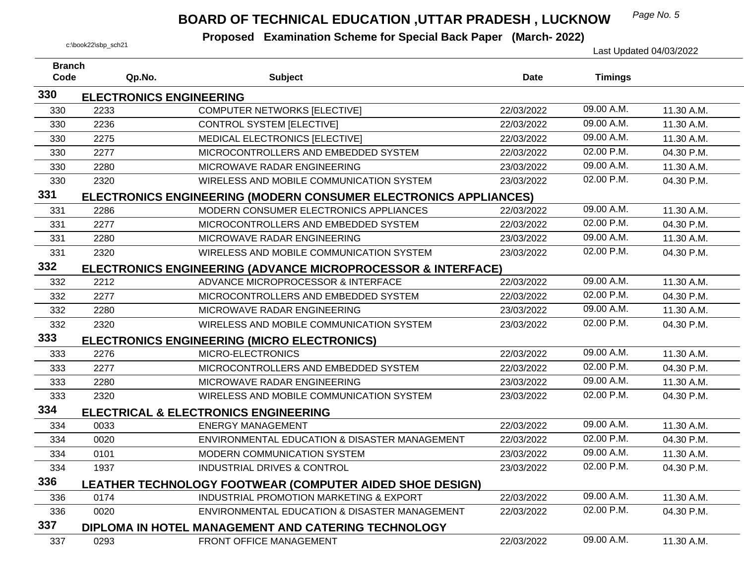## *Page No. 5* **BOARD OF TECHNICAL EDUCATION ,UTTAR PRADESH , LUCKNOW**

| <b>Branch</b><br>Code | Qp.No.                         | <b>Subject</b>                                                          | <b>Date</b> | <b>Timings</b> |            |
|-----------------------|--------------------------------|-------------------------------------------------------------------------|-------------|----------------|------------|
| 330                   |                                |                                                                         |             |                |            |
|                       | <b>ELECTRONICS ENGINEERING</b> |                                                                         |             | 09.00 A.M.     |            |
| 330                   | 2233                           | <b>COMPUTER NETWORKS [ELECTIVE]</b>                                     | 22/03/2022  |                | 11.30 A.M. |
| 330                   | 2236                           | <b>CONTROL SYSTEM [ELECTIVE]</b>                                        | 22/03/2022  | 09.00 A.M.     | 11.30 A.M. |
| 330                   | 2275                           | MEDICAL ELECTRONICS [ELECTIVE]                                          | 22/03/2022  | 09.00 A.M.     | 11.30 A.M. |
| 330                   | 2277                           | MICROCONTROLLERS AND EMBEDDED SYSTEM                                    | 22/03/2022  | 02.00 P.M.     | 04.30 P.M. |
| 330                   | 2280                           | MICROWAVE RADAR ENGINEERING                                             | 23/03/2022  | 09.00 A.M.     | 11.30 A.M. |
| 330                   | 2320                           | WIRELESS AND MOBILE COMMUNICATION SYSTEM                                | 23/03/2022  | 02.00 P.M.     | 04.30 P.M. |
| 331                   |                                | ELECTRONICS ENGINEERING (MODERN CONSUMER ELECTRONICS APPLIANCES)        |             |                |            |
| 331                   | 2286                           | MODERN CONSUMER ELECTRONICS APPLIANCES                                  | 22/03/2022  | $09.00$ A.M.   | 11.30 A.M. |
| 331                   | 2277                           | MICROCONTROLLERS AND EMBEDDED SYSTEM                                    | 22/03/2022  | 02.00 P.M.     | 04.30 P.M. |
| 331                   | 2280                           | MICROWAVE RADAR ENGINEERING                                             | 23/03/2022  | 09.00 A.M.     | 11.30 A.M. |
| 331                   | 2320                           | WIRELESS AND MOBILE COMMUNICATION SYSTEM                                | 23/03/2022  | 02.00 P.M.     | 04.30 P.M. |
| 332                   |                                | <b>ELECTRONICS ENGINEERING (ADVANCE MICROPROCESSOR &amp; INTERFACE)</b> |             |                |            |
| 332                   | 2212                           | ADVANCE MICROPROCESSOR & INTERFACE                                      | 22/03/2022  | 09.00 A.M.     | 11.30 A.M. |
| 332                   | 2277                           | MICROCONTROLLERS AND EMBEDDED SYSTEM                                    | 22/03/2022  | 02.00 P.M.     | 04.30 P.M. |
| 332                   | 2280                           | MICROWAVE RADAR ENGINEERING                                             | 23/03/2022  | 09.00 A.M.     | 11.30 A.M. |
| 332                   | 2320                           | WIRELESS AND MOBILE COMMUNICATION SYSTEM                                | 23/03/2022  | 02.00 P.M.     | 04.30 P.M. |
| 333                   |                                | ELECTRONICS ENGINEERING (MICRO ELECTRONICS)                             |             |                |            |
| 333                   | 2276                           | MICRO-ELECTRONICS                                                       | 22/03/2022  | 09.00 A.M.     | 11.30 A.M. |
| 333                   | 2277                           | MICROCONTROLLERS AND EMBEDDED SYSTEM                                    | 22/03/2022  | 02.00 P.M.     | 04.30 P.M. |
| 333                   | 2280                           | MICROWAVE RADAR ENGINEERING                                             | 23/03/2022  | 09.00 A.M.     | 11.30 A.M. |
| 333                   | 2320                           | WIRELESS AND MOBILE COMMUNICATION SYSTEM                                | 23/03/2022  | 02.00 P.M.     | 04.30 P.M. |
| 334                   |                                | <b>ELECTRICAL &amp; ELECTRONICS ENGINEERING</b>                         |             |                |            |
| 334                   | 0033                           | <b>ENERGY MANAGEMENT</b>                                                | 22/03/2022  | 09.00 A.M.     | 11.30 A.M. |
| 334                   | 0020                           | ENVIRONMENTAL EDUCATION & DISASTER MANAGEMENT                           | 22/03/2022  | 02.00 P.M.     | 04.30 P.M. |
| 334                   | 0101                           | MODERN COMMUNICATION SYSTEM                                             | 23/03/2022  | 09.00 A.M.     | 11.30 A.M. |
| 334                   | 1937                           | <b>INDUSTRIAL DRIVES &amp; CONTROL</b>                                  | 23/03/2022  | 02.00 P.M.     | 04.30 P.M. |
| 336                   |                                | LEATHER TECHNOLOGY FOOTWEAR (COMPUTER AIDED SHOE DESIGN)                |             |                |            |
| 336                   | 0174                           | INDUSTRIAL PROMOTION MARKETING & EXPORT                                 | 22/03/2022  | 09.00 A.M.     | 11.30 A.M. |
| 336                   | 0020                           | ENVIRONMENTAL EDUCATION & DISASTER MANAGEMENT                           | 22/03/2022  | 02.00 P.M.     | 04.30 P.M. |
| 337                   |                                | DIPLOMA IN HOTEL MANAGEMENT AND CATERING TECHNOLOGY                     |             |                |            |
| 337                   | 0293                           | FRONT OFFICE MANAGEMENT                                                 | 22/03/2022  | 09.00 A.M.     | 11.30 A.M. |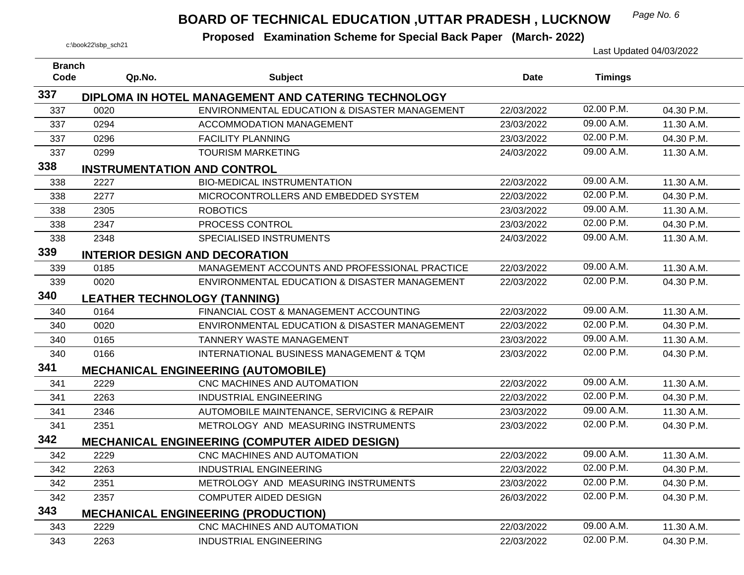## **BOARD OF TECHNICAL EDUCATION ,UTTAR PRADESH, LUCKNOW** Page No. 6

| <b>Branch</b><br>Code | Qp.No.                              | <b>Subject</b>                                        | <b>Date</b> | <b>Timings</b> |            |
|-----------------------|-------------------------------------|-------------------------------------------------------|-------------|----------------|------------|
| 337                   |                                     | DIPLOMA IN HOTEL MANAGEMENT AND CATERING TECHNOLOGY   |             |                |            |
| 337                   | 0020                                | ENVIRONMENTAL EDUCATION & DISASTER MANAGEMENT         | 22/03/2022  | 02.00 P.M.     | 04.30 P.M. |
| 337                   | 0294                                | <b>ACCOMMODATION MANAGEMENT</b>                       | 23/03/2022  | 09.00 A.M.     | 11.30 A.M. |
| 337                   | 0296                                | <b>FACILITY PLANNING</b>                              | 23/03/2022  | 02.00 P.M.     | 04.30 P.M. |
| 337                   | 0299                                | <b>TOURISM MARKETING</b>                              | 24/03/2022  | 09.00 A.M.     | 11.30 A.M. |
| 338                   | <b>INSTRUMENTATION AND CONTROL</b>  |                                                       |             |                |            |
| 338                   | 2227                                | <b>BIO-MEDICAL INSTRUMENTATION</b>                    | 22/03/2022  | 09.00 A.M.     | 11.30 A.M. |
| 338                   | 2277                                | MICROCONTROLLERS AND EMBEDDED SYSTEM                  | 22/03/2022  | 02.00 P.M.     | 04.30 P.M. |
| 338                   | 2305                                | <b>ROBOTICS</b>                                       | 23/03/2022  | 09.00 A.M.     | 11.30 A.M. |
| 338                   | 2347                                | PROCESS CONTROL                                       | 23/03/2022  | 02.00 P.M.     | 04.30 P.M. |
| 338                   | 2348                                | SPECIALISED INSTRUMENTS                               | 24/03/2022  | 09.00 A.M.     | 11.30 A.M. |
| 339                   |                                     | <b>INTERIOR DESIGN AND DECORATION</b>                 |             |                |            |
| 339                   | 0185                                | MANAGEMENT ACCOUNTS AND PROFESSIONAL PRACTICE         | 22/03/2022  | 09.00 A.M.     | 11.30 A.M. |
| 339                   | 0020                                | ENVIRONMENTAL EDUCATION & DISASTER MANAGEMENT         | 22/03/2022  | 02.00 P.M.     | 04.30 P.M. |
| 340                   | <b>LEATHER TECHNOLOGY (TANNING)</b> |                                                       |             |                |            |
| 340                   | 0164                                | FINANCIAL COST & MANAGEMENT ACCOUNTING                | 22/03/2022  | 09.00 A.M.     | 11.30 A.M. |
| 340                   | 0020                                | ENVIRONMENTAL EDUCATION & DISASTER MANAGEMENT         | 22/03/2022  | 02.00 P.M.     | 04.30 P.M. |
| 340                   | 0165                                | <b>TANNERY WASTE MANAGEMENT</b>                       | 23/03/2022  | 09.00 A.M.     | 11.30 A.M. |
| 340                   | 0166                                | INTERNATIONAL BUSINESS MANAGEMENT & TQM               | 23/03/2022  | 02.00 P.M.     | 04.30 P.M. |
| 341                   |                                     | <b>MECHANICAL ENGINEERING (AUTOMOBILE)</b>            |             |                |            |
| 341                   | 2229                                | CNC MACHINES AND AUTOMATION                           | 22/03/2022  | 09.00 A.M.     | 11.30 A.M. |
| 341                   | 2263                                | <b>INDUSTRIAL ENGINEERING</b>                         | 22/03/2022  | 02.00 P.M.     | 04.30 P.M. |
| 341                   | 2346                                | AUTOMOBILE MAINTENANCE, SERVICING & REPAIR            | 23/03/2022  | 09.00 A.M.     | 11.30 A.M. |
| 341                   | 2351                                | METROLOGY AND MEASURING INSTRUMENTS                   | 23/03/2022  | 02.00 P.M.     | 04.30 P.M. |
| 342                   |                                     | <b>MECHANICAL ENGINEERING (COMPUTER AIDED DESIGN)</b> |             |                |            |
| 342                   | 2229                                | CNC MACHINES AND AUTOMATION                           | 22/03/2022  | 09.00 A.M.     | 11.30 A.M. |
| 342                   | 2263                                | <b>INDUSTRIAL ENGINEERING</b>                         | 22/03/2022  | 02.00 P.M.     | 04.30 P.M. |
| 342                   | 2351                                | METROLOGY AND MEASURING INSTRUMENTS                   | 23/03/2022  | 02.00 P.M.     | 04.30 P.M. |
| 342                   | 2357                                | <b>COMPUTER AIDED DESIGN</b>                          | 26/03/2022  | 02.00 P.M.     | 04.30 P.M. |
| 343                   |                                     | <b>MECHANICAL ENGINEERING (PRODUCTION)</b>            |             |                |            |
| 343                   | 2229                                | CNC MACHINES AND AUTOMATION                           | 22/03/2022  | 09.00 A.M.     | 11.30 A.M. |
| 343                   | 2263                                | <b>INDUSTRIAL ENGINEERING</b>                         | 22/03/2022  | 02.00 P.M.     | 04.30 P.M. |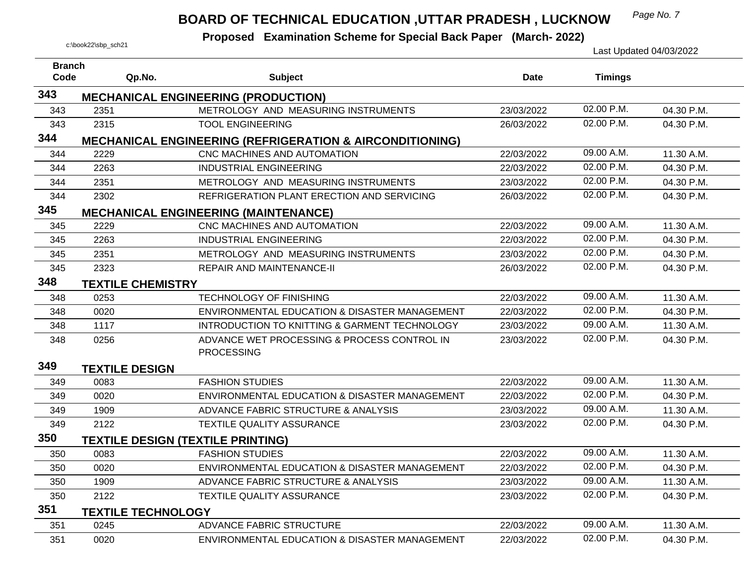## *Page No. 7* **BOARD OF TECHNICAL EDUCATION ,UTTAR PRADESH , LUCKNOW**

| <b>Branch</b> |                           |                                                                     |             |                |            |
|---------------|---------------------------|---------------------------------------------------------------------|-------------|----------------|------------|
| Code          | Qp.No.                    | <b>Subject</b>                                                      | <b>Date</b> | <b>Timings</b> |            |
| 343           |                           | <b>MECHANICAL ENGINEERING (PRODUCTION)</b>                          |             |                |            |
| 343           | 2351                      | METROLOGY AND MEASURING INSTRUMENTS                                 | 23/03/2022  | 02.00 P.M.     | 04.30 P.M. |
| 343           | 2315                      | <b>TOOL ENGINEERING</b>                                             | 26/03/2022  | 02.00 P.M.     | 04.30 P.M. |
| 344           |                           | <b>MECHANICAL ENGINEERING (REFRIGERATION &amp; AIRCONDITIONING)</b> |             |                |            |
| 344           | 2229                      | CNC MACHINES AND AUTOMATION                                         | 22/03/2022  | 09.00 A.M.     | 11.30 A.M. |
| 344           | 2263                      | <b>INDUSTRIAL ENGINEERING</b>                                       | 22/03/2022  | 02.00 P.M.     | 04.30 P.M. |
| 344           | 2351                      | METROLOGY AND MEASURING INSTRUMENTS                                 | 23/03/2022  | 02.00 P.M.     | 04.30 P.M. |
| 344           | 2302                      | REFRIGERATION PLANT ERECTION AND SERVICING                          | 26/03/2022  | 02.00 P.M.     | 04.30 P.M. |
| 345           |                           | <b>MECHANICAL ENGINEERING (MAINTENANCE)</b>                         |             |                |            |
| 345           | 2229                      | CNC MACHINES AND AUTOMATION                                         | 22/03/2022  | 09.00 A.M.     | 11.30 A.M. |
| 345           | 2263                      | <b>INDUSTRIAL ENGINEERING</b>                                       | 22/03/2022  | 02.00 P.M.     | 04.30 P.M. |
| 345           | 2351                      | METROLOGY AND MEASURING INSTRUMENTS                                 | 23/03/2022  | 02.00 P.M.     | 04.30 P.M. |
| 345           | 2323                      | <b>REPAIR AND MAINTENANCE-II</b>                                    | 26/03/2022  | 02.00 P.M.     | 04.30 P.M. |
| 348           | <b>TEXTILE CHEMISTRY</b>  |                                                                     |             |                |            |
| 348           | 0253                      | <b>TECHNOLOGY OF FINISHING</b>                                      | 22/03/2022  | 09.00 A.M.     | 11.30 A.M. |
| 348           | 0020                      | ENVIRONMENTAL EDUCATION & DISASTER MANAGEMENT                       | 22/03/2022  | 02.00 P.M.     | 04.30 P.M. |
| 348           | 1117                      | INTRODUCTION TO KNITTING & GARMENT TECHNOLOGY                       | 23/03/2022  | 09.00 A.M.     | 11.30 A.M. |
| 348           | 0256                      | ADVANCE WET PROCESSING & PROCESS CONTROL IN                         | 23/03/2022  | 02.00 P.M.     | 04.30 P.M. |
|               |                           | <b>PROCESSING</b>                                                   |             |                |            |
| 349           | <b>TEXTILE DESIGN</b>     |                                                                     |             |                |            |
| 349           | 0083                      | <b>FASHION STUDIES</b>                                              | 22/03/2022  | 09.00 A.M.     | 11.30 A.M. |
| 349           | 0020                      | ENVIRONMENTAL EDUCATION & DISASTER MANAGEMENT                       | 22/03/2022  | 02.00 P.M.     | 04.30 P.M. |
| 349           | 1909                      | ADVANCE FABRIC STRUCTURE & ANALYSIS                                 | 23/03/2022  | 09.00 A.M.     | 11.30 A.M. |
| 349           | 2122                      | TEXTILE QUALITY ASSURANCE                                           | 23/03/2022  | 02.00 P.M.     | 04.30 P.M. |
| 350           |                           | <b>TEXTILE DESIGN (TEXTILE PRINTING)</b>                            |             |                |            |
| 350           | 0083                      | <b>FASHION STUDIES</b>                                              | 22/03/2022  | 09.00 A.M.     | 11.30 A.M. |
| 350           | 0020                      | ENVIRONMENTAL EDUCATION & DISASTER MANAGEMENT                       | 22/03/2022  | 02.00 P.M.     | 04.30 P.M. |
| 350           | 1909                      | ADVANCE FABRIC STRUCTURE & ANALYSIS                                 | 23/03/2022  | 09.00 A.M.     | 11.30 A.M. |
| 350           | 2122                      | TEXTILE QUALITY ASSURANCE                                           | 23/03/2022  | 02.00 P.M.     | 04.30 P.M. |
| 351           | <b>TEXTILE TECHNOLOGY</b> |                                                                     |             |                |            |
| 351           | 0245                      | ADVANCE FABRIC STRUCTURE                                            | 22/03/2022  | 09.00 A.M.     | 11.30 A.M. |
| 351           | 0020                      | ENVIRONMENTAL EDUCATION & DISASTER MANAGEMENT                       | 22/03/2022  | 02.00 P.M.     | 04.30 P.M. |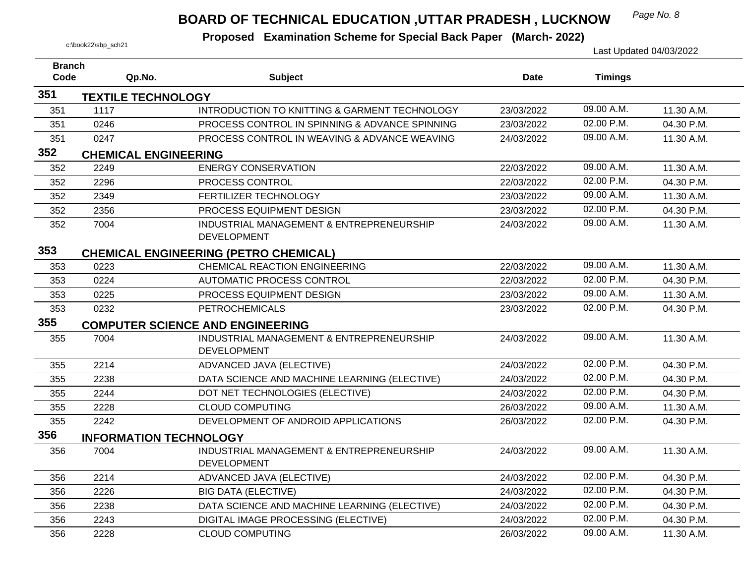## *Page No. 8* **BOARD OF TECHNICAL EDUCATION ,UTTAR PRADESH , LUCKNOW**

| <b>Branch</b> |                               |                                                                |             |                |            |
|---------------|-------------------------------|----------------------------------------------------------------|-------------|----------------|------------|
| Code          | Qp.No.                        | <b>Subject</b>                                                 | <b>Date</b> | <b>Timings</b> |            |
| 351           | <b>TEXTILE TECHNOLOGY</b>     |                                                                |             |                |            |
| 351           | 1117                          | INTRODUCTION TO KNITTING & GARMENT TECHNOLOGY                  | 23/03/2022  | 09.00 A.M.     | 11.30 A.M. |
| 351           | 0246                          | PROCESS CONTROL IN SPINNING & ADVANCE SPINNING                 | 23/03/2022  | 02.00 P.M.     | 04.30 P.M. |
| 351           | 0247                          | PROCESS CONTROL IN WEAVING & ADVANCE WEAVING                   | 24/03/2022  | 09.00 A.M.     | 11.30 A.M. |
| 352           | <b>CHEMICAL ENGINEERING</b>   |                                                                |             |                |            |
| 352           | 2249                          | <b>ENERGY CONSERVATION</b>                                     | 22/03/2022  | 09.00 A.M.     | 11.30 A.M. |
| 352           | 2296                          | PROCESS CONTROL                                                | 22/03/2022  | 02.00 P.M.     | 04.30 P.M. |
| 352           | 2349                          | FERTILIZER TECHNOLOGY                                          | 23/03/2022  | 09.00 A.M.     | 11.30 A.M. |
| 352           | 2356                          | PROCESS EQUIPMENT DESIGN                                       | 23/03/2022  | 02.00 P.M.     | 04.30 P.M. |
| 352           | 7004                          | INDUSTRIAL MANAGEMENT & ENTREPRENEURSHIP                       | 24/03/2022  | 09.00 A.M.     | 11.30 A.M. |
|               |                               | <b>DEVELOPMENT</b>                                             |             |                |            |
| 353           |                               | <b>CHEMICAL ENGINEERING (PETRO CHEMICAL)</b>                   |             |                |            |
| 353           | 0223                          | <b>CHEMICAL REACTION ENGINEERING</b>                           | 22/03/2022  | 09.00 A.M.     | 11.30 A.M. |
| 353           | 0224                          | <b>AUTOMATIC PROCESS CONTROL</b>                               | 22/03/2022  | 02.00 P.M.     | 04.30 P.M. |
| 353           | 0225                          | PROCESS EQUIPMENT DESIGN                                       | 23/03/2022  | 09.00 A.M.     | 11.30 A.M. |
| 353           | 0232                          | <b>PETROCHEMICALS</b>                                          | 23/03/2022  | 02.00 P.M.     | 04.30 P.M. |
| 355           |                               | <b>COMPUTER SCIENCE AND ENGINEERING</b>                        |             |                |            |
| 355           | 7004                          | INDUSTRIAL MANAGEMENT & ENTREPRENEURSHIP<br><b>DEVELOPMENT</b> | 24/03/2022  | 09.00 A.M.     | 11.30 A.M. |
| 355           | 2214                          | ADVANCED JAVA (ELECTIVE)                                       | 24/03/2022  | 02.00 P.M.     | 04.30 P.M. |
| 355           | 2238                          | DATA SCIENCE AND MACHINE LEARNING (ELECTIVE)                   | 24/03/2022  | 02.00 P.M.     | 04.30 P.M. |
| 355           | 2244                          | DOT NET TECHNOLOGIES (ELECTIVE)                                | 24/03/2022  | 02.00 P.M.     | 04.30 P.M. |
| 355           | 2228                          | <b>CLOUD COMPUTING</b>                                         | 26/03/2022  | 09.00 A.M.     | 11.30 A.M. |
| 355           | 2242                          | DEVELOPMENT OF ANDROID APPLICATIONS                            | 26/03/2022  | 02.00 P.M.     | 04.30 P.M. |
| 356           | <b>INFORMATION TECHNOLOGY</b> |                                                                |             |                |            |
| 356           | 7004                          | INDUSTRIAL MANAGEMENT & ENTREPRENEURSHIP<br><b>DEVELOPMENT</b> | 24/03/2022  | 09.00 A.M.     | 11.30 A.M. |
| 356           | 2214                          | ADVANCED JAVA (ELECTIVE)                                       | 24/03/2022  | 02.00 P.M.     | 04.30 P.M. |
| 356           | 2226                          | <b>BIG DATA (ELECTIVE)</b>                                     | 24/03/2022  | 02.00 P.M.     | 04.30 P.M. |
| 356           | 2238                          | DATA SCIENCE AND MACHINE LEARNING (ELECTIVE)                   | 24/03/2022  | 02.00 P.M.     | 04.30 P.M. |
| 356           | 2243                          | DIGITAL IMAGE PROCESSING (ELECTIVE)                            | 24/03/2022  | 02.00 P.M.     | 04.30 P.M. |
| 356           | 2228                          | <b>CLOUD COMPUTING</b>                                         | 26/03/2022  | 09.00 A.M.     | 11.30 A.M. |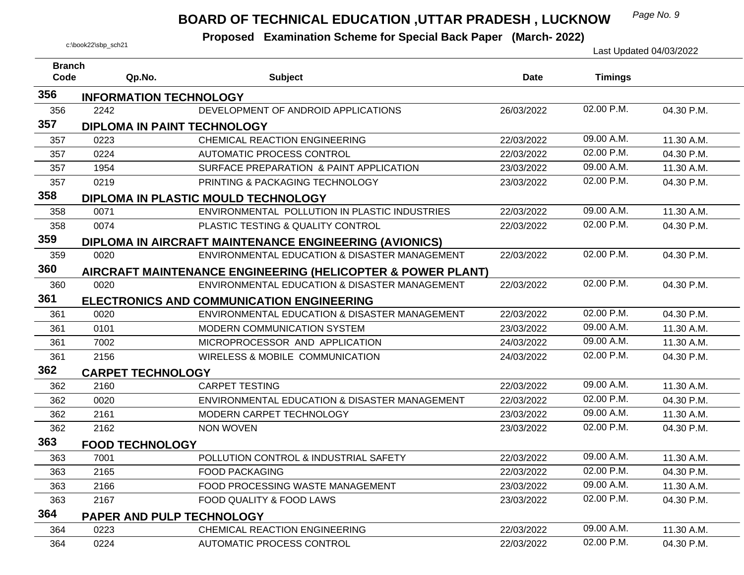## *Page No. 9* **BOARD OF TECHNICAL EDUCATION ,UTTAR PRADESH , LUCKNOW**

| <b>Branch</b> |                               |                                                               |             |                |            |
|---------------|-------------------------------|---------------------------------------------------------------|-------------|----------------|------------|
| Code          | Qp.No.                        | <b>Subject</b>                                                | <b>Date</b> | <b>Timings</b> |            |
| 356           | <b>INFORMATION TECHNOLOGY</b> |                                                               |             |                |            |
| 356           | 2242                          | DEVELOPMENT OF ANDROID APPLICATIONS                           | 26/03/2022  | 02.00 P.M.     | 04.30 P.M. |
| 357           | DIPLOMA IN PAINT TECHNOLOGY   |                                                               |             |                |            |
| 357           | 0223                          | CHEMICAL REACTION ENGINEERING                                 | 22/03/2022  | 09.00 A.M.     | 11.30 A.M. |
| 357           | 0224                          | <b>AUTOMATIC PROCESS CONTROL</b>                              | 22/03/2022  | 02.00 P.M.     | 04.30 P.M. |
| 357           | 1954                          | SURFACE PREPARATION & PAINT APPLICATION                       | 23/03/2022  | 09.00 A.M.     | 11.30 A.M. |
| 357           | 0219                          | PRINTING & PACKAGING TECHNOLOGY                               | 23/03/2022  | 02.00 P.M.     | 04.30 P.M. |
| 358           |                               | DIPLOMA IN PLASTIC MOULD TECHNOLOGY                           |             |                |            |
| 358           | 0071                          | ENVIRONMENTAL POLLUTION IN PLASTIC INDUSTRIES                 | 22/03/2022  | 09.00 A.M.     | 11.30 A.M. |
| 358           | 0074                          | PLASTIC TESTING & QUALITY CONTROL                             | 22/03/2022  | 02.00 P.M.     | 04.30 P.M. |
| 359           |                               | <b>DIPLOMA IN AIRCRAFT MAINTENANCE ENGINEERING (AVIONICS)</b> |             |                |            |
| 359           | 0020                          | ENVIRONMENTAL EDUCATION & DISASTER MANAGEMENT                 | 22/03/2022  | 02.00 P.M.     | 04.30 P.M. |
| 360           |                               | AIRCRAFT MAINTENANCE ENGINEERING (HELICOPTER & POWER PLANT)   |             |                |            |
| 360           | 0020                          | ENVIRONMENTAL EDUCATION & DISASTER MANAGEMENT                 | 22/03/2022  | 02.00 P.M.     | 04.30 P.M. |
| 361           |                               | <b>ELECTRONICS AND COMMUNICATION ENGINEERING</b>              |             |                |            |
| 361           | 0020                          | ENVIRONMENTAL EDUCATION & DISASTER MANAGEMENT                 | 22/03/2022  | 02.00 P.M.     | 04.30 P.M. |
| 361           | 0101                          | MODERN COMMUNICATION SYSTEM                                   | 23/03/2022  | 09.00 A.M.     | 11.30 A.M. |
| 361           | 7002                          | MICROPROCESSOR AND APPLICATION                                | 24/03/2022  | 09.00 A.M.     | 11.30 A.M. |
| 361           | 2156                          | <b>WIRELESS &amp; MOBILE COMMUNICATION</b>                    | 24/03/2022  | 02.00 P.M.     | 04.30 P.M. |
| 362           | <b>CARPET TECHNOLOGY</b>      |                                                               |             |                |            |
| 362           | 2160                          | <b>CARPET TESTING</b>                                         | 22/03/2022  | 09.00 A.M.     | 11.30 A.M. |
| 362           | 0020                          | ENVIRONMENTAL EDUCATION & DISASTER MANAGEMENT                 | 22/03/2022  | 02.00 P.M.     | 04.30 P.M. |
| 362           | 2161                          | MODERN CARPET TECHNOLOGY                                      | 23/03/2022  | 09.00 A.M.     | 11.30 A.M. |
| 362           | 2162                          | <b>NON WOVEN</b>                                              | 23/03/2022  | 02.00 P.M.     | 04.30 P.M. |
| 363           | <b>FOOD TECHNOLOGY</b>        |                                                               |             |                |            |
| 363           | 7001                          | POLLUTION CONTROL & INDUSTRIAL SAFETY                         | 22/03/2022  | 09.00 A.M.     | 11.30 A.M. |
| 363           | 2165                          | <b>FOOD PACKAGING</b>                                         | 22/03/2022  | 02.00 P.M.     | 04.30 P.M. |
| 363           | 2166                          | FOOD PROCESSING WASTE MANAGEMENT                              | 23/03/2022  | 09.00 A.M.     | 11.30 A.M. |
| 363           | 2167                          | <b>FOOD QUALITY &amp; FOOD LAWS</b>                           | 23/03/2022  | 02.00 P.M.     | 04.30 P.M. |
| 364           | PAPER AND PULP TECHNOLOGY     |                                                               |             |                |            |
| 364           | 0223                          | CHEMICAL REACTION ENGINEERING                                 | 22/03/2022  | 09.00 A.M.     | 11.30 A.M. |
| 364           | 0224                          | AUTOMATIC PROCESS CONTROL                                     | 22/03/2022  | 02.00 P.M.     | 04.30 P.M. |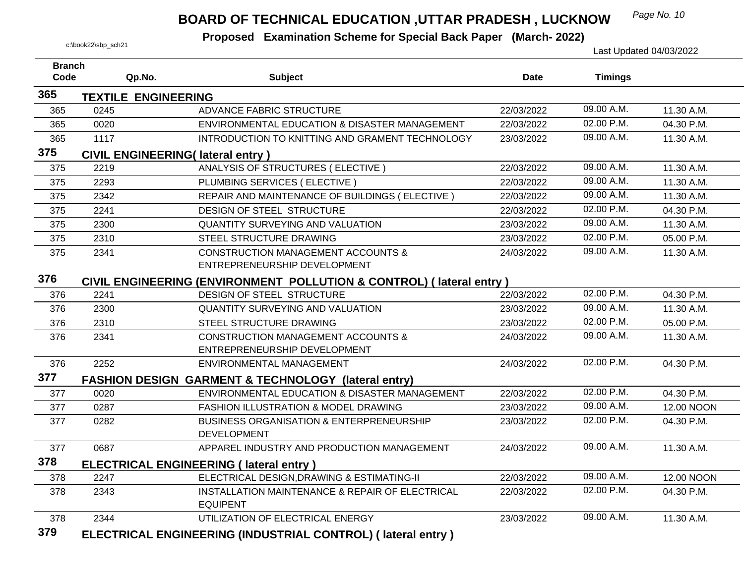#### *Page No. 10* **BOARD OF TECHNICAL EDUCATION ,UTTAR PRADESH , LUCKNOW**

| <b>Branch</b> |                            |                                                                     |            |                |            |
|---------------|----------------------------|---------------------------------------------------------------------|------------|----------------|------------|
| Code          | Qp.No.                     | <b>Subject</b>                                                      | Date       | <b>Timings</b> |            |
| 365           | <b>TEXTILE ENGINEERING</b> |                                                                     |            |                |            |
| 365           | 0245                       | ADVANCE FABRIC STRUCTURE                                            | 22/03/2022 | 09.00 A.M.     | 11.30 A.M. |
| 365           | 0020                       | ENVIRONMENTAL EDUCATION & DISASTER MANAGEMENT                       | 22/03/2022 | 02.00 P.M.     | 04.30 P.M. |
| 365           | 1117                       | INTRODUCTION TO KNITTING AND GRAMENT TECHNOLOGY                     | 23/03/2022 | 09.00 A.M.     | 11.30 A.M. |
| 375           |                            | <b>CIVIL ENGINEERING(Iateral entry)</b>                             |            |                |            |
| 375           | 2219                       | ANALYSIS OF STRUCTURES (ELECTIVE)                                   | 22/03/2022 | 09.00 A.M.     | 11.30 A.M. |
| 375           | 2293                       | PLUMBING SERVICES (ELECTIVE)                                        | 22/03/2022 | 09.00 A.M.     | 11.30 A.M. |
| 375           | 2342                       | REPAIR AND MAINTENANCE OF BUILDINGS (ELECTIVE)                      | 22/03/2022 | 09.00 A.M.     | 11.30 A.M. |
| 375           | 2241                       | DESIGN OF STEEL STRUCTURE                                           | 22/03/2022 | 02.00 P.M.     | 04.30 P.M. |
| 375           | 2300                       | <b>QUANTITY SURVEYING AND VALUATION</b>                             | 23/03/2022 | 09.00 A.M.     | 11.30 A.M. |
| 375           | 2310                       | STEEL STRUCTURE DRAWING                                             | 23/03/2022 | 02.00 P.M.     | 05.00 P.M. |
| 375           | 2341                       | <b>CONSTRUCTION MANAGEMENT ACCOUNTS &amp;</b>                       | 24/03/2022 | 09.00 A.M.     | 11.30 A.M. |
|               |                            | ENTREPRENEURSHIP DEVELOPMENT                                        |            |                |            |
| 376           |                            | CIVIL ENGINEERING (ENVIRONMENT POLLUTION & CONTROL) (lateral entry) |            |                |            |
| 376           | 2241                       | DESIGN OF STEEL STRUCTURE                                           | 22/03/2022 | 02.00 P.M.     | 04.30 P.M. |
| 376           | 2300                       | <b>QUANTITY SURVEYING AND VALUATION</b>                             | 23/03/2022 | 09.00 A.M.     | 11.30 A.M. |
| 376           | 2310                       | STEEL STRUCTURE DRAWING                                             | 23/03/2022 | 02.00 P.M.     | 05.00 P.M. |
| 376           | 2341                       | <b>CONSTRUCTION MANAGEMENT ACCOUNTS &amp;</b>                       | 24/03/2022 | 09.00 A.M.     | 11.30 A.M. |
|               |                            | ENTREPRENEURSHIP DEVELOPMENT                                        |            |                |            |
| 376           | 2252                       | ENVIRONMENTAL MANAGEMENT                                            | 24/03/2022 | 02.00 P.M.     | 04.30 P.M. |
| 377           |                            | FASHION DESIGN GARMENT & TECHNOLOGY (lateral entry)                 |            |                |            |
| 377           | 0020                       | ENVIRONMENTAL EDUCATION & DISASTER MANAGEMENT                       | 22/03/2022 | 02.00 P.M.     | 04.30 P.M. |
| 377           | 0287                       | FASHION ILLUSTRATION & MODEL DRAWING                                | 23/03/2022 | 09.00 A.M.     | 12.00 NOON |
| 377           | 0282                       | <b>BUSINESS ORGANISATION &amp; ENTERPRENEURSHIP</b>                 | 23/03/2022 | 02.00 P.M.     | 04.30 P.M. |
|               |                            | <b>DEVELOPMENT</b>                                                  |            |                |            |
| 377           | 0687                       | APPAREL INDUSTRY AND PRODUCTION MANAGEMENT                          | 24/03/2022 | 09.00 A.M.     | 11.30 A.M. |
| 378           |                            | <b>ELECTRICAL ENGINEERING (Iateral entry)</b>                       |            |                |            |
| 378           | 2247                       | ELECTRICAL DESIGN, DRAWING & ESTIMATING-II                          | 22/03/2022 | 09.00 A.M.     | 12.00 NOON |
| 378           | 2343                       | INSTALLATION MAINTENANCE & REPAIR OF ELECTRICAL                     | 22/03/2022 | 02.00 P.M.     | 04.30 P.M. |
|               |                            | <b>EQUIPENT</b>                                                     |            |                |            |
| 378           | 2344                       | UTILIZATION OF ELECTRICAL ENERGY                                    | 23/03/2022 | 09.00 A.M.     | 11.30 A.M. |
| 379           |                            | ELECTRICAL ENGINEERING (INDUSTRIAL CONTROL) (lateral entry)         |            |                |            |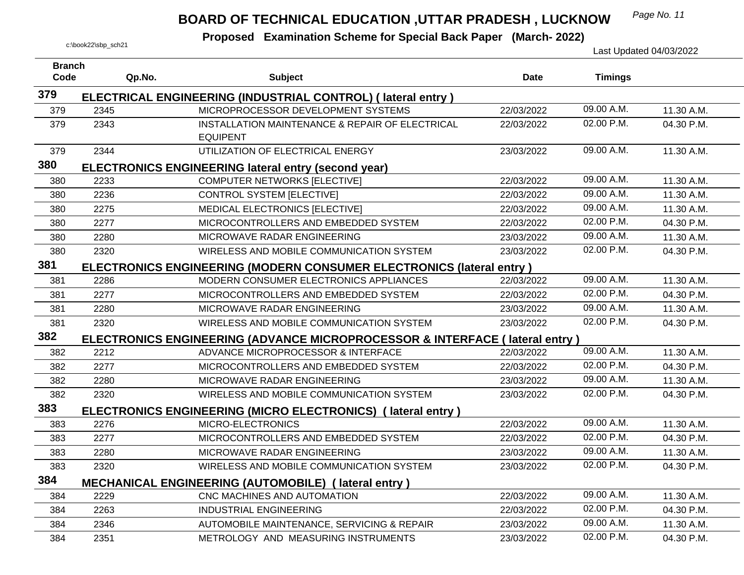## *Page No. 11* **BOARD OF TECHNICAL EDUCATION ,UTTAR PRADESH , LUCKNOW**

| <b>Branch</b> |        |                                                                             |            |                |            |
|---------------|--------|-----------------------------------------------------------------------------|------------|----------------|------------|
| Code          | Qp.No. | <b>Subject</b>                                                              | Date       | <b>Timings</b> |            |
| 379           |        | ELECTRICAL ENGINEERING (INDUSTRIAL CONTROL) (lateral entry)                 |            |                |            |
| 379           | 2345   | MICROPROCESSOR DEVELOPMENT SYSTEMS                                          | 22/03/2022 | 09.00 A.M.     | 11.30 A.M. |
| 379           | 2343   | INSTALLATION MAINTENANCE & REPAIR OF ELECTRICAL<br><b>EQUIPENT</b>          | 22/03/2022 | 02.00 P.M.     | 04.30 P.M. |
| 379           | 2344   | UTILIZATION OF ELECTRICAL ENERGY                                            | 23/03/2022 | 09.00 A.M.     | 11.30 A.M. |
| 380           |        | <b>ELECTRONICS ENGINEERING lateral entry (second year)</b>                  |            |                |            |
| 380           | 2233   | <b>COMPUTER NETWORKS [ELECTIVE]</b>                                         | 22/03/2022 | 09.00 A.M.     | 11.30 A.M. |
| 380           | 2236   | <b>CONTROL SYSTEM [ELECTIVE]</b>                                            | 22/03/2022 | 09.00 A.M.     | 11.30 A.M. |
| 380           | 2275   | MEDICAL ELECTRONICS [ELECTIVE]                                              | 22/03/2022 | 09.00 A.M.     | 11.30 A.M. |
| 380           | 2277   | MICROCONTROLLERS AND EMBEDDED SYSTEM                                        | 22/03/2022 | 02.00 P.M.     | 04.30 P.M. |
| 380           | 2280   | MICROWAVE RADAR ENGINEERING                                                 | 23/03/2022 | 09.00 A.M.     | 11.30 A.M. |
| 380           | 2320   | WIRELESS AND MOBILE COMMUNICATION SYSTEM                                    | 23/03/2022 | 02.00 P.M.     | 04.30 P.M. |
| 381           |        | ELECTRONICS ENGINEERING (MODERN CONSUMER ELECTRONICS (lateral entry)        |            |                |            |
| 381           | 2286   | MODERN CONSUMER ELECTRONICS APPLIANCES                                      | 22/03/2022 | 09.00 A.M.     | 11.30 A.M. |
| 381           | 2277   | MICROCONTROLLERS AND EMBEDDED SYSTEM                                        | 22/03/2022 | 02.00 P.M.     | 04.30 P.M. |
| 381           | 2280   | MICROWAVE RADAR ENGINEERING                                                 | 23/03/2022 | 09.00 A.M.     | 11.30 A.M. |
| 381           | 2320   | WIRELESS AND MOBILE COMMUNICATION SYSTEM                                    | 23/03/2022 | 02.00 P.M.     | 04.30 P.M. |
| 382           |        | ELECTRONICS ENGINEERING (ADVANCE MICROPROCESSOR & INTERFACE (lateral entry) |            |                |            |
| 382           | 2212   | ADVANCE MICROPROCESSOR & INTERFACE                                          | 22/03/2022 | 09.00 A.M.     | 11.30 A.M. |
| 382           | 2277   | MICROCONTROLLERS AND EMBEDDED SYSTEM                                        | 22/03/2022 | 02.00 P.M.     | 04.30 P.M. |
| 382           | 2280   | MICROWAVE RADAR ENGINEERING                                                 | 23/03/2022 | 09.00 A.M.     | 11.30 A.M. |
| 382           | 2320   | WIRELESS AND MOBILE COMMUNICATION SYSTEM                                    | 23/03/2022 | 02.00 P.M.     | 04.30 P.M. |
| 383           |        | ELECTRONICS ENGINEERING (MICRO ELECTRONICS) (lateral entry)                 |            |                |            |
| 383           | 2276   | MICRO-ELECTRONICS                                                           | 22/03/2022 | 09.00 A.M.     | 11.30 A.M. |
| 383           | 2277   | MICROCONTROLLERS AND EMBEDDED SYSTEM                                        | 22/03/2022 | 02.00 P.M.     | 04.30 P.M. |
| 383           | 2280   | MICROWAVE RADAR ENGINEERING                                                 | 23/03/2022 | 09.00 A.M.     | 11.30 A.M. |
| 383           | 2320   | WIRELESS AND MOBILE COMMUNICATION SYSTEM                                    | 23/03/2022 | 02.00 P.M.     | 04.30 P.M. |
| 384           |        | <b>MECHANICAL ENGINEERING (AUTOMOBILE) (lateral entry)</b>                  |            |                |            |
| 384           | 2229   | CNC MACHINES AND AUTOMATION                                                 | 22/03/2022 | 09.00 A.M.     | 11.30 A.M. |
| 384           | 2263   | <b>INDUSTRIAL ENGINEERING</b>                                               | 22/03/2022 | 02.00 P.M.     | 04.30 P.M. |
| 384           | 2346   | AUTOMOBILE MAINTENANCE, SERVICING & REPAIR                                  | 23/03/2022 | 09.00 A.M.     | 11.30 A.M. |
| 384           | 2351   | METROLOGY AND MEASURING INSTRUMENTS                                         | 23/03/2022 | 02.00 P.M.     | 04.30 P.M. |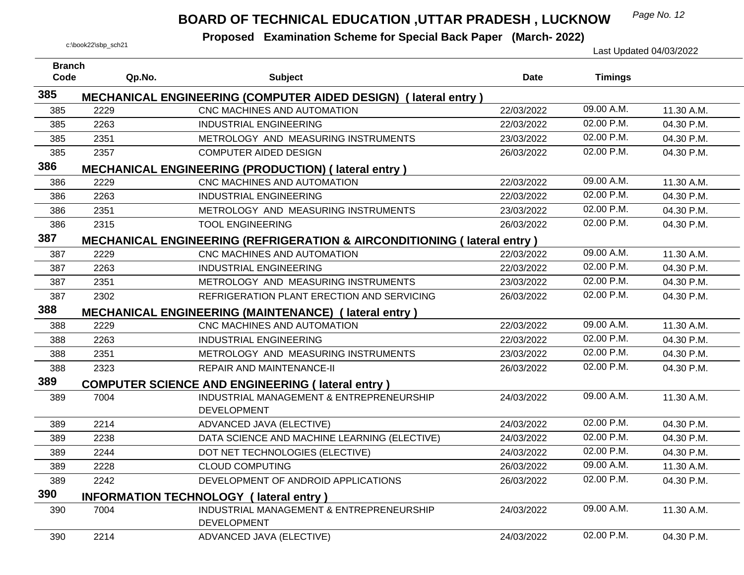## *Page No. 12* **BOARD OF TECHNICAL EDUCATION ,UTTAR PRADESH , LUCKNOW**

| <b>Branch</b> |        |                                                                                    |             |                |            |
|---------------|--------|------------------------------------------------------------------------------------|-------------|----------------|------------|
| Code          | Qp.No. | <b>Subject</b>                                                                     | <b>Date</b> | <b>Timings</b> |            |
| 385           |        | MECHANICAL ENGINEERING (COMPUTER AIDED DESIGN) (lateral entry)                     |             |                |            |
| 385           | 2229   | CNC MACHINES AND AUTOMATION                                                        | 22/03/2022  | 09.00 A.M.     | 11.30 A.M. |
| 385           | 2263   | <b>INDUSTRIAL ENGINEERING</b>                                                      | 22/03/2022  | 02.00 P.M.     | 04.30 P.M. |
| 385           | 2351   | METROLOGY AND MEASURING INSTRUMENTS                                                | 23/03/2022  | 02.00 P.M.     | 04.30 P.M. |
| 385           | 2357   | <b>COMPUTER AIDED DESIGN</b>                                                       | 26/03/2022  | 02.00 P.M.     | 04.30 P.M. |
| 386           |        | <b>MECHANICAL ENGINEERING (PRODUCTION) (lateral entry)</b>                         |             |                |            |
| 386           | 2229   | CNC MACHINES AND AUTOMATION                                                        | 22/03/2022  | 09.00 A.M.     | 11.30 A.M. |
| 386           | 2263   | <b>INDUSTRIAL ENGINEERING</b>                                                      | 22/03/2022  | 02.00 P.M.     | 04.30 P.M. |
| 386           | 2351   | METROLOGY AND MEASURING INSTRUMENTS                                                | 23/03/2022  | 02.00 P.M.     | 04.30 P.M. |
| 386           | 2315   | <b>TOOL ENGINEERING</b>                                                            | 26/03/2022  | 02.00 P.M.     | 04.30 P.M. |
| 387           |        | <b>MECHANICAL ENGINEERING (REFRIGERATION &amp; AIRCONDITIONING (Iateral entry)</b> |             |                |            |
| 387           | 2229   | CNC MACHINES AND AUTOMATION                                                        | 22/03/2022  | 09.00 A.M.     | 11.30 A.M. |
| 387           | 2263   | <b>INDUSTRIAL ENGINEERING</b>                                                      | 22/03/2022  | 02.00 P.M.     | 04.30 P.M. |
| 387           | 2351   | METROLOGY AND MEASURING INSTRUMENTS                                                | 23/03/2022  | 02.00 P.M.     | 04.30 P.M. |
| 387           | 2302   | REFRIGERATION PLANT ERECTION AND SERVICING                                         | 26/03/2022  | 02.00 P.M.     | 04.30 P.M. |
| 388           |        | <b>MECHANICAL ENGINEERING (MAINTENANCE) (lateral entry)</b>                        |             |                |            |
| 388           | 2229   | CNC MACHINES AND AUTOMATION                                                        | 22/03/2022  | 09.00 A.M.     | 11.30 A.M. |
| 388           | 2263   | <b>INDUSTRIAL ENGINEERING</b>                                                      | 22/03/2022  | 02.00 P.M.     | 04.30 P.M. |
| 388           | 2351   | METROLOGY AND MEASURING INSTRUMENTS                                                | 23/03/2022  | 02.00 P.M.     | 04.30 P.M. |
| 388           | 2323   | <b>REPAIR AND MAINTENANCE-II</b>                                                   | 26/03/2022  | 02.00 P.M.     | 04.30 P.M. |
| 389           |        | <b>COMPUTER SCIENCE AND ENGINEERING (lateral entry)</b>                            |             |                |            |
| 389           | 7004   | INDUSTRIAL MANAGEMENT & ENTREPRENEURSHIP<br><b>DEVELOPMENT</b>                     | 24/03/2022  | 09.00 A.M.     | 11.30 A.M. |
| 389           | 2214   | ADVANCED JAVA (ELECTIVE)                                                           | 24/03/2022  | 02.00 P.M.     | 04.30 P.M. |
| 389           | 2238   | DATA SCIENCE AND MACHINE LEARNING (ELECTIVE)                                       | 24/03/2022  | 02.00 P.M.     | 04.30 P.M. |
| 389           | 2244   | DOT NET TECHNOLOGIES (ELECTIVE)                                                    | 24/03/2022  | 02.00 P.M.     | 04.30 P.M. |
| 389           | 2228   | <b>CLOUD COMPUTING</b>                                                             | 26/03/2022  | 09.00 A.M.     | 11.30 A.M. |
| 389           | 2242   | DEVELOPMENT OF ANDROID APPLICATIONS                                                | 26/03/2022  | 02.00 P.M.     | 04.30 P.M. |
| 390           |        | <b>INFORMATION TECHNOLOGY (lateral entry)</b>                                      |             |                |            |
| 390           | 7004   | INDUSTRIAL MANAGEMENT & ENTREPRENEURSHIP<br><b>DEVELOPMENT</b>                     | 24/03/2022  | 09.00 A.M.     | 11.30 A.M. |
| 390           | 2214   | ADVANCED JAVA (ELECTIVE)                                                           | 24/03/2022  | 02.00 P.M.     | 04.30 P.M. |